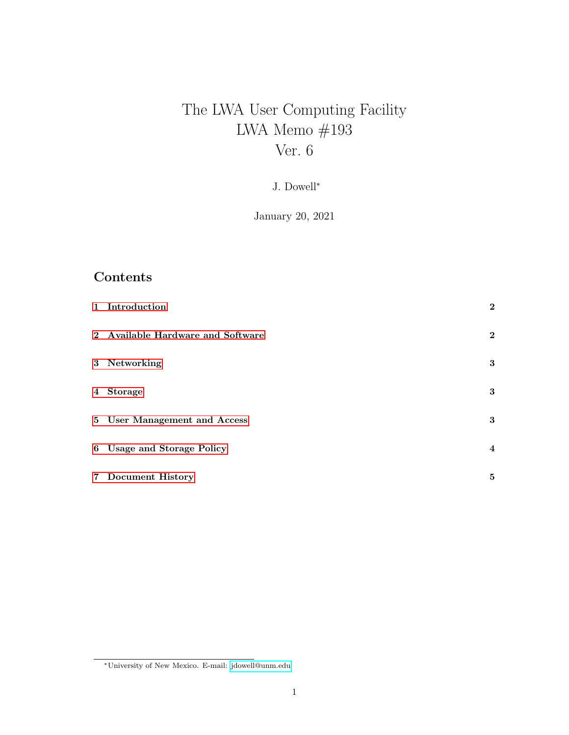# The LWA User Computing Facility LWA Memo $\#193$ Ver. 6

J. Dowell<sup>∗</sup>

January 20, 2021

# Contents

| 1 Introduction                    | $\mathbf{2}$   |
|-----------------------------------|----------------|
| 2 Available Hardware and Software | $\mathbf{2}$   |
| 3 Networking                      | 3              |
| 4 Storage                         | 3              |
| 5 User Management and Access      | 3              |
| 6 Usage and Storage Policy        | $\overline{4}$ |
| 7 Document History                | 5              |

<sup>∗</sup>University of New Mexico. E-mail: [jdowell@unm.edu](mailto:jdowell@unm.edu)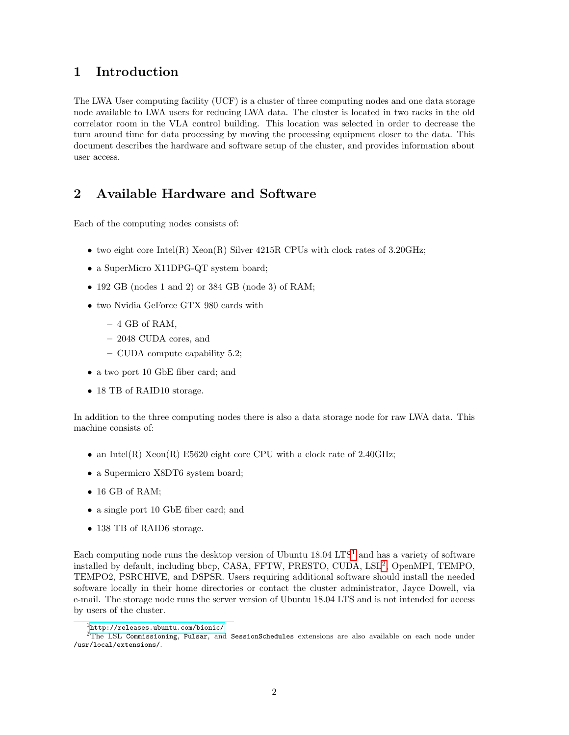#### <span id="page-1-0"></span>1 Introduction

The LWA User computing facility (UCF) is a cluster of three computing nodes and one data storage node available to LWA users for reducing LWA data. The cluster is located in two racks in the old correlator room in the VLA control building. This location was selected in order to decrease the turn around time for data processing by moving the processing equipment closer to the data. This document describes the hardware and software setup of the cluster, and provides information about user access.

#### <span id="page-1-1"></span>2 Available Hardware and Software

Each of the computing nodes consists of:

- two eight core Intel(R)  $Xeon(R)$  Silver 4215R CPUs with clock rates of 3.20GHz;
- a SuperMicro X11DPG-QT system board;
- 192 GB (nodes 1 and 2) or 384 GB (node 3) of RAM;
- two Nvidia GeForce GTX 980 cards with
	- $-4$  GB of RAM,
	- 2048 CUDA cores, and
	- CUDA compute capability 5.2;
- a two port 10 GbE fiber card; and
- 18 TB of RAID10 storage.

In addition to the three computing nodes there is also a data storage node for raw LWA data. This machine consists of:

- an Intel(R)  $Xeon(R) E5620$  eight core CPU with a clock rate of 2.40GHz;
- a Supermicro X8DT6 system board;
- 16 GB of RAM;
- a single port 10 GbE fiber card; and
- 138 TB of RAID6 storage.

Each computing node runs the desktop version of Ubuntu  $18.04 \text{ LTS}^1$  $18.04 \text{ LTS}^1$  and has a variety of software installed by default, including bbcp, CASA, FFTW, PRESTO, CUDA, LSL<sup>[2](#page-1-3)</sup>, OpenMPI, TEMPO, TEMPO2, PSRCHIVE, and DSPSR. Users requiring additional software should install the needed software locally in their home directories or contact the cluster administrator, Jayce Dowell, via e-mail. The storage node runs the server version of Ubuntu 18.04 LTS and is not intended for access by users of the cluster.

<span id="page-1-3"></span><span id="page-1-2"></span> $1$ <http://releases.ubuntu.com/bionic/>

<sup>&</sup>lt;sup>2</sup>The LSL Commissioning, Pulsar, and SessionSchedules extensions are also available on each node under /usr/local/extensions/.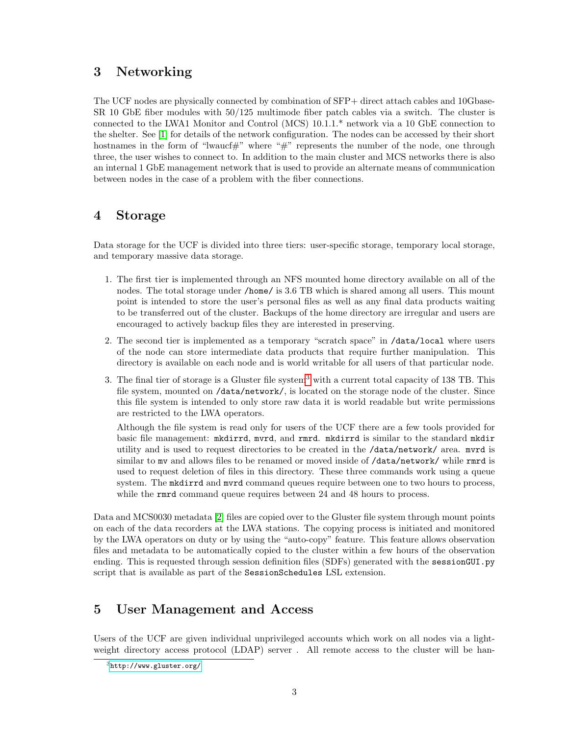#### <span id="page-2-0"></span>3 Networking

The UCF nodes are physically connected by combination of SFP+ direct attach cables and 10Gbase-SR 10 GbE fiber modules with 50/125 multimode fiber patch cables via a switch. The cluster is connected to the LWA1 Monitor and Control (MCS) 10.1.1.\* network via a 10 GbE connection to the shelter. See [\[1\]](#page-5-0) for details of the network configuration. The nodes can be accessed by their short hostnames in the form of "lwaucf#" where " $\#$ " represents the number of the node, one through three, the user wishes to connect to. In addition to the main cluster and MCS networks there is also an internal 1 GbE management network that is used to provide an alternate means of communication between nodes in the case of a problem with the fiber connections.

## <span id="page-2-1"></span>4 Storage

Data storage for the UCF is divided into three tiers: user-specific storage, temporary local storage, and temporary massive data storage.

- 1. The first tier is implemented through an NFS mounted home directory available on all of the nodes. The total storage under /home/ is 3.6 TB which is shared among all users. This mount point is intended to store the user's personal files as well as any final data products waiting to be transferred out of the cluster. Backups of the home directory are irregular and users are encouraged to actively backup files they are interested in preserving.
- 2. The second tier is implemented as a temporary "scratch space" in /data/local where users of the node can store intermediate data products that require further manipulation. This directory is available on each node and is world writable for all users of that particular node.
- [3](#page-2-3). The final tier of storage is a Gluster file system<sup>3</sup> with a current total capacity of 138 TB. This file system, mounted on /data/network/, is located on the storage node of the cluster. Since this file system is intended to only store raw data it is world readable but write permissions are restricted to the LWA operators.

Although the file system is read only for users of the UCF there are a few tools provided for basic file management: mkdirrd, mvrd, and rmrd. mkdirrd is similar to the standard mkdir utility and is used to request directories to be created in the /data/network/ area. mvrd is similar to my and allows files to be renamed or moved inside of /data/network/ while rmrd is used to request deletion of files in this directory. These three commands work using a queue system. The mixturation and murd command queues require between one to two hours to process, while the **rmrd** command queue requires between 24 and 48 hours to process.

Data and MCS0030 metadata [\[2\]](#page-5-1) files are copied over to the Gluster file system through mount points on each of the data recorders at the LWA stations. The copying process is initiated and monitored by the LWA operators on duty or by using the "auto-copy" feature. This feature allows observation files and metadata to be automatically copied to the cluster within a few hours of the observation ending. This is requested through session definition files (SDFs) generated with the sessionGUI.py script that is available as part of the SessionSchedules LSL extension.

# <span id="page-2-2"></span>5 User Management and Access

Users of the UCF are given individual unprivileged accounts which work on all nodes via a lightweight directory access protocol (LDAP) server. All remote access to the cluster will be han-

<span id="page-2-3"></span> $3$ <http://www.gluster.org/>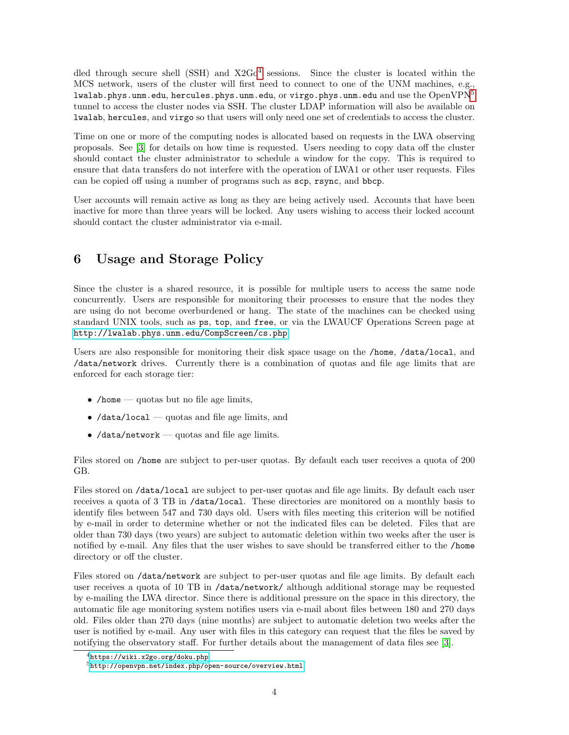dled through secure shell (SSH) and  $X2Go<sup>4</sup>$  $X2Go<sup>4</sup>$  $X2Go<sup>4</sup>$  sessions. Since the cluster is located within the MCS network, users of the cluster will first need to connect to one of the UNM machines, e.g., lwalab.phys.unm.edu, hercules.phys.unm.edu, or virgo.phys.unm.edu and use the  $OpenVPN<sup>5</sup>$  $OpenVPN<sup>5</sup>$  $OpenVPN<sup>5</sup>$ tunnel to access the cluster nodes via SSH. The cluster LDAP information will also be available on lwalab, hercules, and virgo so that users will only need one set of credentials to access the cluster.

Time on one or more of the computing nodes is allocated based on requests in the LWA observing proposals. See [\[3\]](#page-5-2) for details on how time is requested. Users needing to copy data off the cluster should contact the cluster administrator to schedule a window for the copy. This is required to ensure that data transfers do not interfere with the operation of LWA1 or other user requests. Files can be copied off using a number of programs such as scp, rsync, and bbcp.

User accounts will remain active as long as they are being actively used. Accounts that have been inactive for more than three years will be locked. Any users wishing to access their locked account should contact the cluster administrator via e-mail.

## <span id="page-3-0"></span>6 Usage and Storage Policy

Since the cluster is a shared resource, it is possible for multiple users to access the same node concurrently. Users are responsible for monitoring their processes to ensure that the nodes they are using do not become overburdened or hang. The state of the machines can be checked using standard UNIX tools, such as ps, top, and free, or via the LWAUCF Operations Screen page at <http://lwalab.phys.unm.edu/CompScreen/cs.php>.

Users are also responsible for monitoring their disk space usage on the /home, /data/local, and /data/network drives. Currently there is a combination of quotas and file age limits that are enforced for each storage tier:

- /home quotas but no file age limits,
- /data/local quotas and file age limits, and
- $\bullet$  /data/network quotas and file age limits.

Files stored on /home are subject to per-user quotas. By default each user receives a quota of 200 GB.

Files stored on /data/local are subject to per-user quotas and file age limits. By default each user receives a quota of 3 TB in /data/local. These directories are monitored on a monthly basis to identify files between 547 and 730 days old. Users with files meeting this criterion will be notified by e-mail in order to determine whether or not the indicated files can be deleted. Files that are older than 730 days (two years) are subject to automatic deletion within two weeks after the user is notified by e-mail. Any files that the user wishes to save should be transferred either to the /home directory or off the cluster.

Files stored on /data/network are subject to per-user quotas and file age limits. By default each user receives a quota of 10 TB in /data/network/ although additional storage may be requested by e-mailing the LWA director. Since there is additional pressure on the space in this directory, the automatic file age monitoring system notifies users via e-mail about files between 180 and 270 days old. Files older than 270 days (nine months) are subject to automatic deletion two weeks after the user is notified by e-mail. Any user with files in this category can request that the files be saved by notifying the observatory staff. For further details about the management of data files see [\[3\]](#page-5-2).

<span id="page-3-1"></span> $4$ <https://wiki.x2go.org/doku.php>

<span id="page-3-2"></span><sup>5</sup><http://openvpn.net/index.php/open-source/overview.html>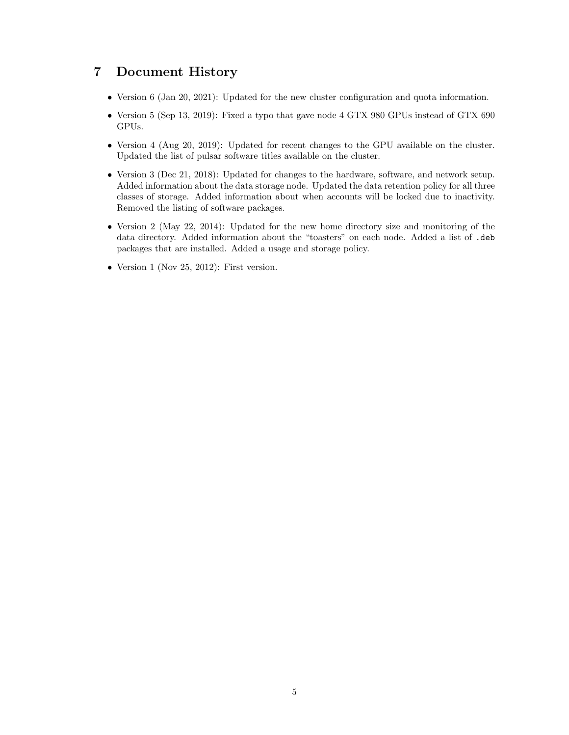#### <span id="page-4-0"></span>7 Document History

- Version 6 (Jan 20, 2021): Updated for the new cluster configuration and quota information.
- Version 5 (Sep 13, 2019): Fixed a typo that gave node 4 GTX 980 GPUs instead of GTX 690 GPUs.
- Version 4 (Aug 20, 2019): Updated for recent changes to the GPU available on the cluster. Updated the list of pulsar software titles available on the cluster.
- Version 3 (Dec 21, 2018): Updated for changes to the hardware, software, and network setup. Added information about the data storage node. Updated the data retention policy for all three classes of storage. Added information about when accounts will be locked due to inactivity. Removed the listing of software packages.
- Version 2 (May 22, 2014): Updated for the new home directory size and monitoring of the data directory. Added information about the "toasters" on each node. Added a list of .deb packages that are installed. Added a usage and storage policy.
- Version 1 (Nov 25, 2012): First version.